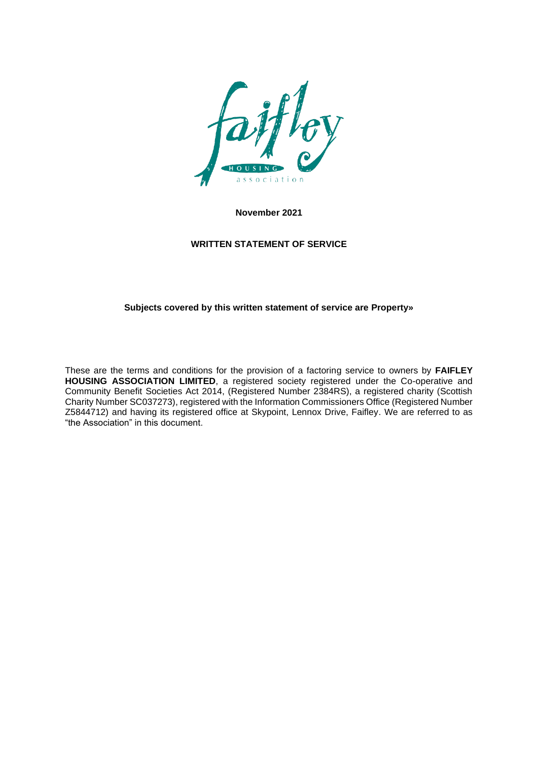

**November 2021** 

# **WRITTEN STATEMENT OF SERVICE**

## **Subjects covered by this written statement of service are Property»**

These are the terms and conditions for the provision of a factoring service to owners by **FAIFLEY HOUSING ASSOCIATION LIMITED**, a registered society registered under the Co-operative and Community Benefit Societies Act 2014, (Registered Number 2384RS), a registered charity (Scottish Charity Number SC037273), registered with the Information Commissioners Office (Registered Number Z5844712) and having its registered office at Skypoint, Lennox Drive, Faifley. We are referred to as "the Association" in this document.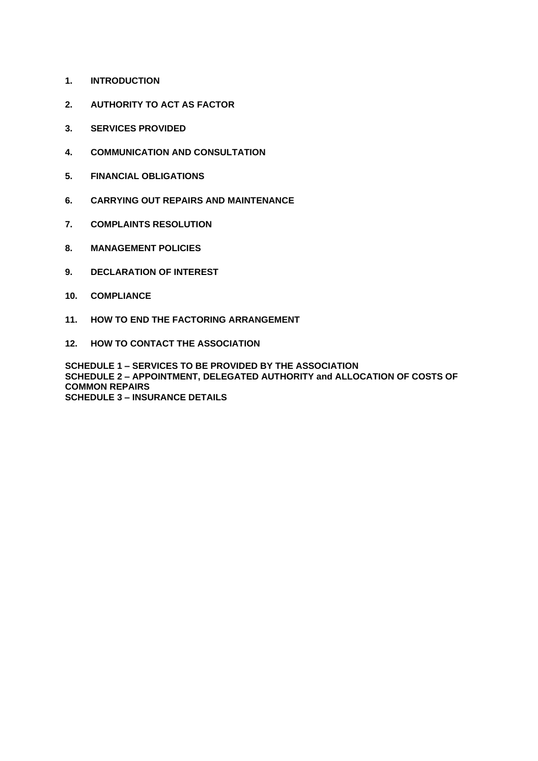- **1. INTRODUCTION**
- **2. AUTHORITY TO ACT AS FACTOR**
- **3. SERVICES PROVIDED**
- **4. COMMUNICATION AND CONSULTATION**
- **5. FINANCIAL OBLIGATIONS**
- **6. CARRYING OUT REPAIRS AND MAINTENANCE**
- **7. COMPLAINTS RESOLUTION**
- **8. MANAGEMENT POLICIES**
- **9. DECLARATION OF INTEREST**
- **10. COMPLIANCE**
- **11. HOW TO END THE FACTORING ARRANGEMENT**
- **12. HOW TO CONTACT THE ASSOCIATION**

**SCHEDULE 1 – SERVICES TO BE PROVIDED BY THE ASSOCIATION SCHEDULE 2 – APPOINTMENT, DELEGATED AUTHORITY and ALLOCATION OF COSTS OF COMMON REPAIRS SCHEDULE 3 – INSURANCE DETAILS**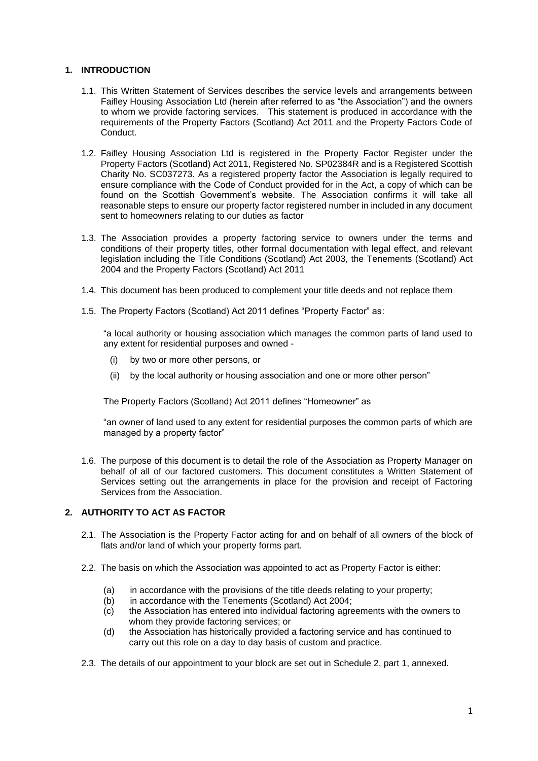## **1. INTRODUCTION**

- 1.1. This Written Statement of Services describes the service levels and arrangements between Faifley Housing Association Ltd (herein after referred to as "the Association") and the owners to whom we provide factoring services. This statement is produced in accordance with the requirements of the Property Factors (Scotland) Act 2011 and the Property Factors Code of Conduct.
- 1.2. Faifley Housing Association Ltd is registered in the Property Factor Register under the Property Factors (Scotland) Act 2011, Registered No. SP02384R and is a Registered Scottish Charity No. SC037273. As a registered property factor the Association is legally required to ensure compliance with the Code of Conduct provided for in the Act, a copy of which can be found on the Scottish Government's website. The Association confirms it will take all reasonable steps to ensure our property factor registered number in included in any document sent to homeowners relating to our duties as factor
- 1.3. The Association provides a property factoring service to owners under the terms and conditions of their property titles, other formal documentation with legal effect, and relevant legislation including the Title Conditions (Scotland) Act 2003, the Tenements (Scotland) Act 2004 and the Property Factors (Scotland) Act 2011
- 1.4. This document has been produced to complement your title deeds and not replace them
- 1.5. The Property Factors (Scotland) Act 2011 defines "Property Factor" as:

"a local authority or housing association which manages the common parts of land used to any extent for residential purposes and owned -

- (i) by two or more other persons, or
- (ii) by the local authority or housing association and one or more other person"

The Property Factors (Scotland) Act 2011 defines "Homeowner" as

"an owner of land used to any extent for residential purposes the common parts of which are managed by a property factor"

1.6. The purpose of this document is to detail the role of the Association as Property Manager on behalf of all of our factored customers. This document constitutes a Written Statement of Services setting out the arrangements in place for the provision and receipt of Factoring Services from the Association.

# **2. AUTHORITY TO ACT AS FACTOR**

- 2.1. The Association is the Property Factor acting for and on behalf of all owners of the block of flats and/or land of which your property forms part.
- 2.2. The basis on which the Association was appointed to act as Property Factor is either:
	- (a) in accordance with the provisions of the title deeds relating to your property;
	- (b) in accordance with the Tenements (Scotland) Act 2004;
	- (c) the Association has entered into individual factoring agreements with the owners to whom they provide factoring services; or
	- (d) the Association has historically provided a factoring service and has continued to carry out this role on a day to day basis of custom and practice.
- 2.3. The details of our appointment to your block are set out in Schedule 2, part 1, annexed.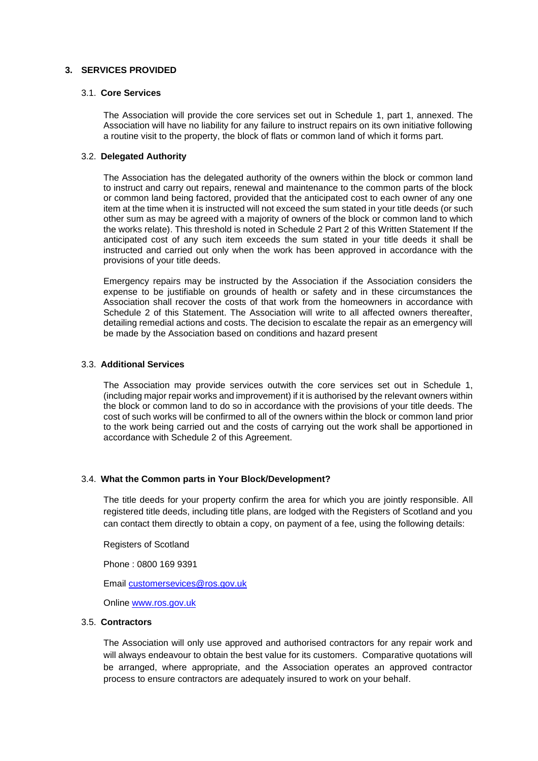## **3. SERVICES PROVIDED**

#### 3.1. **Core Services**

The Association will provide the core services set out in Schedule 1, part 1, annexed. The Association will have no liability for any failure to instruct repairs on its own initiative following a routine visit to the property, the block of flats or common land of which it forms part.

#### 3.2. **Delegated Authority**

The Association has the delegated authority of the owners within the block or common land to instruct and carry out repairs, renewal and maintenance to the common parts of the block or common land being factored, provided that the anticipated cost to each owner of any one item at the time when it is instructed will not exceed the sum stated in your title deeds (or such other sum as may be agreed with a majority of owners of the block or common land to which the works relate). This threshold is noted in Schedule 2 Part 2 of this Written Statement If the anticipated cost of any such item exceeds the sum stated in your title deeds it shall be instructed and carried out only when the work has been approved in accordance with the provisions of your title deeds.

Emergency repairs may be instructed by the Association if the Association considers the expense to be justifiable on grounds of health or safety and in these circumstances the Association shall recover the costs of that work from the homeowners in accordance with Schedule 2 of this Statement. The Association will write to all affected owners thereafter, detailing remedial actions and costs. The decision to escalate the repair as an emergency will be made by the Association based on conditions and hazard present

#### 3.3. **Additional Services**

The Association may provide services outwith the core services set out in Schedule 1, (including major repair works and improvement) if it is authorised by the relevant owners within the block or common land to do so in accordance with the provisions of your title deeds. The cost of such works will be confirmed to all of the owners within the block or common land prior to the work being carried out and the costs of carrying out the work shall be apportioned in accordance with Schedule 2 of this Agreement.

### 3.4. **What the Common parts in Your Block/Development?**

The title deeds for your property confirm the area for which you are jointly responsible. All registered title deeds, including title plans, are lodged with the Registers of Scotland and you can contact them directly to obtain a copy, on payment of a fee, using the following details:

Registers of Scotland

Phone : 0800 169 9391

Email [customersevices@ros.gov.uk](mailto:customersevices@ros.gov.uk)

Online [www.ros.gov.uk](http://www.ros.gov.uk/)

#### 3.5. **Contractors**

The Association will only use approved and authorised contractors for any repair work and will always endeavour to obtain the best value for its customers. Comparative quotations will be arranged, where appropriate, and the Association operates an approved contractor process to ensure contractors are adequately insured to work on your behalf.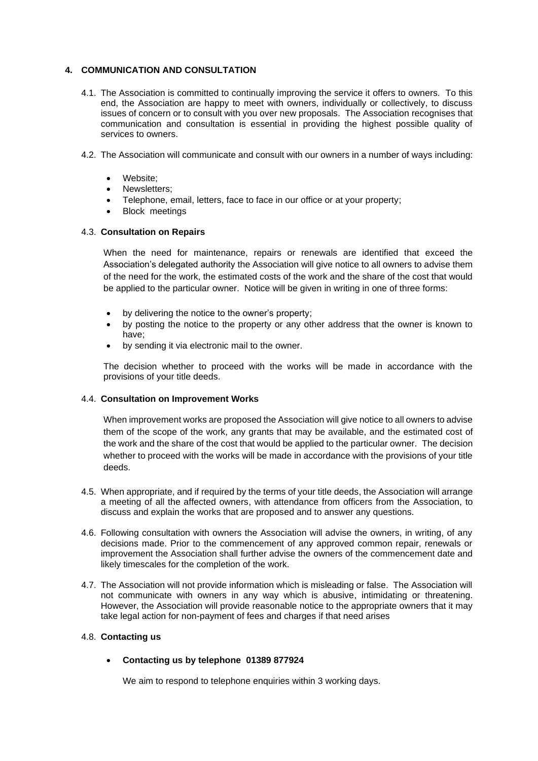## **4. COMMUNICATION AND CONSULTATION**

- 4.1. The Association is committed to continually improving the service it offers to owners. To this end, the Association are happy to meet with owners, individually or collectively, to discuss issues of concern or to consult with you over new proposals. The Association recognises that communication and consultation is essential in providing the highest possible quality of services to owners.
- 4.2. The Association will communicate and consult with our owners in a number of ways including:
	- Website:
	- Newsletters;
	- Telephone, email, letters, face to face in our office or at your property;
	- Block meetings

## 4.3. **Consultation on Repairs**

When the need for maintenance, repairs or renewals are identified that exceed the Association's delegated authority the Association will give notice to all owners to advise them of the need for the work, the estimated costs of the work and the share of the cost that would be applied to the particular owner. Notice will be given in writing in one of three forms:

- by delivering the notice to the owner's property;
- by posting the notice to the property or any other address that the owner is known to have;
- by sending it via electronic mail to the owner.

The decision whether to proceed with the works will be made in accordance with the provisions of your title deeds.

## 4.4. **Consultation on Improvement Works**

When improvement works are proposed the Association will give notice to all owners to advise them of the scope of the work, any grants that may be available, and the estimated cost of the work and the share of the cost that would be applied to the particular owner. The decision whether to proceed with the works will be made in accordance with the provisions of your title deeds.

- 4.5. When appropriate, and if required by the terms of your title deeds, the Association will arrange a meeting of all the affected owners, with attendance from officers from the Association, to discuss and explain the works that are proposed and to answer any questions.
- 4.6. Following consultation with owners the Association will advise the owners, in writing, of any decisions made. Prior to the commencement of any approved common repair, renewals or improvement the Association shall further advise the owners of the commencement date and likely timescales for the completion of the work.
- 4.7. The Association will not provide information which is misleading or false. The Association will not communicate with owners in any way which is abusive, intimidating or threatening. However, the Association will provide reasonable notice to the appropriate owners that it may take legal action for non-payment of fees and charges if that need arises

### 4.8. **Contacting us**

## • **Contacting us by telephone 01389 877924**

We aim to respond to telephone enquiries within 3 working days.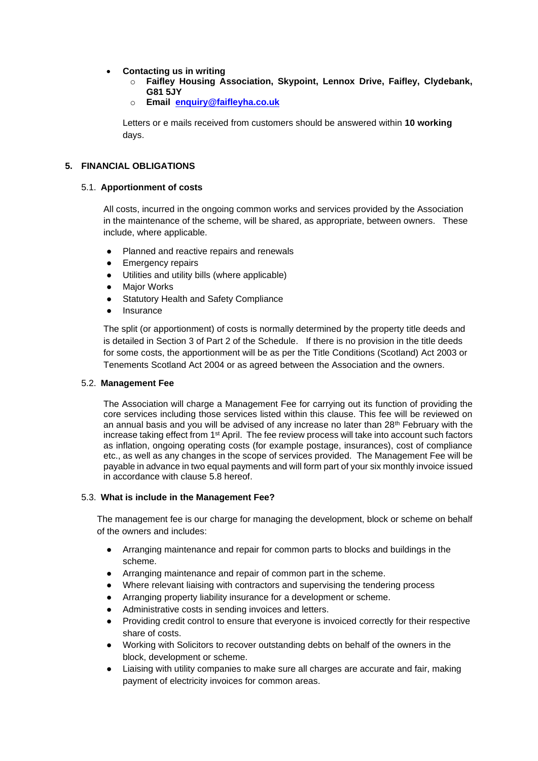## • **Contacting us in writing**

- o **Faifley Housing Association, Skypoint, Lennox Drive, Faifley, Clydebank, G81 5JY**
- o **Email [enquiry@faifleyha.co.uk](mailto:enquiry@faifleyha.co.uk)**

Letters or e mails received from customers should be answered within **10 working** days.

### **5. FINANCIAL OBLIGATIONS**

### 5.1. **Apportionment of costs**

All costs, incurred in the ongoing common works and services provided by the Association in the maintenance of the scheme, will be shared, as appropriate, between owners. These include, where applicable.

- Planned and reactive repairs and renewals
- Emergency repairs
- Utilities and utility bills (where applicable)
- Major Works
- **Statutory Health and Safety Compliance**
- Insurance

The split (or apportionment) of costs is normally determined by the property title deeds and is detailed in Section 3 of Part 2 of the Schedule. If there is no provision in the title deeds for some costs, the apportionment will be as per the Title Conditions (Scotland) Act 2003 or Tenements Scotland Act 2004 or as agreed between the Association and the owners.

### 5.2. **Management Fee**

The Association will charge a Management Fee for carrying out its function of providing the core services including those services listed within this clause. This fee will be reviewed on an annual basis and you will be advised of any increase no later than  $28<sup>th</sup>$  February with the increase taking effect from 1<sup>st</sup> April. The fee review process will take into account such factors as inflation, ongoing operating costs (for example postage, insurances), cost of compliance etc., as well as any changes in the scope of services provided. The Management Fee will be payable in advance in two equal payments and will form part of your six monthly invoice issued in accordance with clause 5.8 hereof.

### 5.3. **What is include in the Management Fee?**

The management fee is our charge for managing the development, block or scheme on behalf of the owners and includes:

- Arranging maintenance and repair for common parts to blocks and buildings in the scheme.
- Arranging maintenance and repair of common part in the scheme.
- Where relevant liaising with contractors and supervising the tendering process
- Arranging property liability insurance for a development or scheme.
- Administrative costs in sending invoices and letters.
- Providing credit control to ensure that everyone is invoiced correctly for their respective share of costs.
- Working with Solicitors to recover outstanding debts on behalf of the owners in the block, development or scheme.
- Liaising with utility companies to make sure all charges are accurate and fair, making payment of electricity invoices for common areas.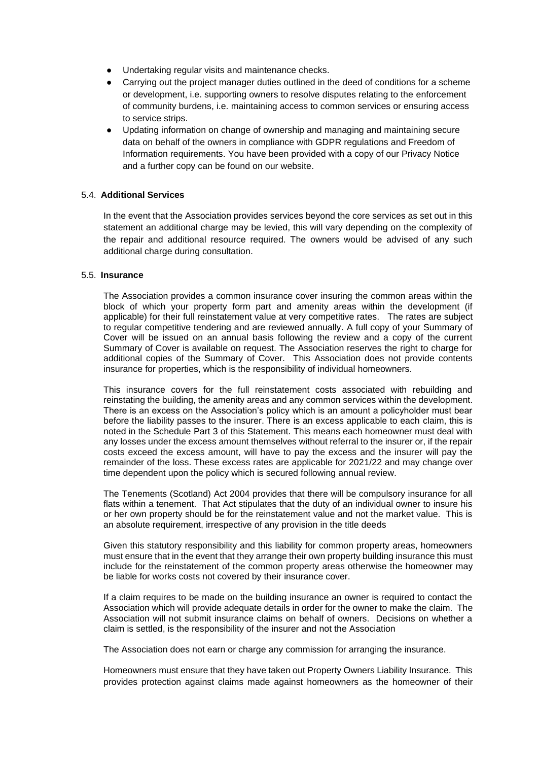- Undertaking regular visits and maintenance checks.
- Carrying out the project manager duties outlined in the deed of conditions for a scheme or development, i.e. supporting owners to resolve disputes relating to the enforcement of community burdens, i.e. maintaining access to common services or ensuring access to service strips.
- Updating information on change of ownership and managing and maintaining secure data on behalf of the owners in compliance with GDPR regulations and Freedom of Information requirements. You have been provided with a copy of our Privacy Notice and a further copy can be found on our website.

## 5.4. **Additional Services**

In the event that the Association provides services beyond the core services as set out in this statement an additional charge may be levied, this will vary depending on the complexity of the repair and additional resource required. The owners would be advised of any such additional charge during consultation.

### 5.5. **Insurance**

The Association provides a common insurance cover insuring the common areas within the block of which your property form part and amenity areas within the development (if applicable) for their full reinstatement value at very competitive rates. The rates are subject to regular competitive tendering and are reviewed annually. A full copy of your Summary of Cover will be issued on an annual basis following the review and a copy of the current Summary of Cover is available on request. The Association reserves the right to charge for additional copies of the Summary of Cover. This Association does not provide contents insurance for properties, which is the responsibility of individual homeowners.

This insurance covers for the full reinstatement costs associated with rebuilding and reinstating the building, the amenity areas and any common services within the development. There is an excess on the Association's policy which is an amount a policyholder must bear before the liability passes to the insurer. There is an excess applicable to each claim, this is noted in the Schedule Part 3 of this Statement. This means each homeowner must deal with any losses under the excess amount themselves without referral to the insurer or, if the repair costs exceed the excess amount, will have to pay the excess and the insurer will pay the remainder of the loss. These excess rates are applicable for 2021/22 and may change over time dependent upon the policy which is secured following annual review.

The Tenements (Scotland) Act 2004 provides that there will be compulsory insurance for all flats within a tenement. That Act stipulates that the duty of an individual owner to insure his or her own property should be for the reinstatement value and not the market value. This is an absolute requirement, irrespective of any provision in the title deeds

Given this statutory responsibility and this liability for common property areas, homeowners must ensure that in the event that they arrange their own property building insurance this must include for the reinstatement of the common property areas otherwise the homeowner may be liable for works costs not covered by their insurance cover.

If a claim requires to be made on the building insurance an owner is required to contact the Association which will provide adequate details in order for the owner to make the claim. The Association will not submit insurance claims on behalf of owners. Decisions on whether a claim is settled, is the responsibility of the insurer and not the Association

The Association does not earn or charge any commission for arranging the insurance.

Homeowners must ensure that they have taken out Property Owners Liability Insurance. This provides protection against claims made against homeowners as the homeowner of their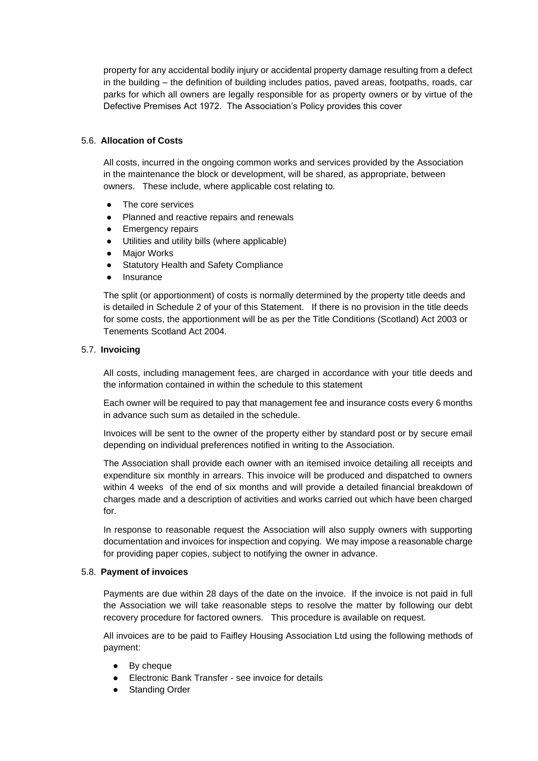property for any accidental bodily injury or accidental property damage resulting from a defect in the building – the definition of building includes patios, paved areas, footpaths, roads, car parks for which all owners are legally responsible for as property owners or by virtue of the Defective Premises Act 1972. The Association's Policy provides this cover

## 5.6. **Allocation of Costs**

All costs, incurred in the ongoing common works and services provided by the Association in the maintenance the block or development, will be shared, as appropriate, between owners. These include, where applicable cost relating to.

- The core services
- Planned and reactive repairs and renewals
- Emergency repairs
- Utilities and utility bills (where applicable)
- Major Works
- Statutory Health and Safety Compliance
- Insurance

The split (or apportionment) of costs is normally determined by the property title deeds and is detailed in Schedule 2 of your of this Statement. If there is no provision in the title deeds for some costs, the apportionment will be as per the Title Conditions (Scotland) Act 2003 or Tenements Scotland Act 2004.

### 5.7. **Invoicing**

All costs, including management fees, are charged in accordance with your title deeds and the information contained in within the schedule to this statement

Each owner will be required to pay that management fee and insurance costs every 6 months in advance such sum as detailed in the schedule.

Invoices will be sent to the owner of the property either by standard post or by secure email depending on individual preferences notified in writing to the Association.

The Association shall provide each owner with an itemised invoice detailing all receipts and expenditure six monthly in arrears. This invoice will be produced and dispatched to owners within 4 weeks of the end of six months and will provide a detailed financial breakdown of charges made and a description of activities and works carried out which have been charged for.

In response to reasonable request the Association will also supply owners with supporting documentation and invoices for inspection and copying. We may impose a reasonable charge for providing paper copies, subject to notifying the owner in advance.

### 5.8. **Payment of invoices**

Payments are due within 28 days of the date on the invoice. If the invoice is not paid in full the Association we will take reasonable steps to resolve the matter by following our debt recovery procedure for factored owners. This procedure is available on request.

All invoices are to be paid to Faifley Housing Association Ltd using the following methods of payment:

- By cheque
- Electronic Bank Transfer see invoice for details
- Standing Order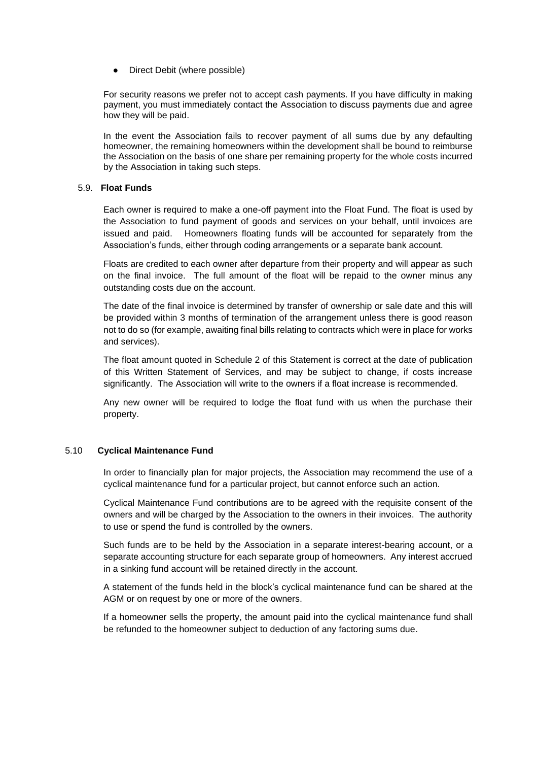• Direct Debit (where possible)

For security reasons we prefer not to accept cash payments. If you have difficulty in making payment, you must immediately contact the Association to discuss payments due and agree how they will be paid.

In the event the Association fails to recover payment of all sums due by any defaulting homeowner, the remaining homeowners within the development shall be bound to reimburse the Association on the basis of one share per remaining property for the whole costs incurred by the Association in taking such steps.

### 5.9. **Float Funds**

Each owner is required to make a one-off payment into the Float Fund. The float is used by the Association to fund payment of goods and services on your behalf, until invoices are issued and paid. Homeowners floating funds will be accounted for separately from the Association's funds, either through coding arrangements or a separate bank account.

Floats are credited to each owner after departure from their property and will appear as such on the final invoice. The full amount of the float will be repaid to the owner minus any outstanding costs due on the account.

The date of the final invoice is determined by transfer of ownership or sale date and this will be provided within 3 months of termination of the arrangement unless there is good reason not to do so (for example, awaiting final bills relating to contracts which were in place for works and services).

The float amount quoted in Schedule 2 of this Statement is correct at the date of publication of this Written Statement of Services, and may be subject to change, if costs increase significantly. The Association will write to the owners if a float increase is recommended.

Any new owner will be required to lodge the float fund with us when the purchase their property.

### 5.10 **Cyclical Maintenance Fund**

In order to financially plan for major projects, the Association may recommend the use of a cyclical maintenance fund for a particular project, but cannot enforce such an action.

Cyclical Maintenance Fund contributions are to be agreed with the requisite consent of the owners and will be charged by the Association to the owners in their invoices. The authority to use or spend the fund is controlled by the owners.

Such funds are to be held by the Association in a separate interest-bearing account, or a separate accounting structure for each separate group of homeowners. Any interest accrued in a sinking fund account will be retained directly in the account.

A statement of the funds held in the block's cyclical maintenance fund can be shared at the AGM or on request by one or more of the owners.

If a homeowner sells the property, the amount paid into the cyclical maintenance fund shall be refunded to the homeowner subject to deduction of any factoring sums due.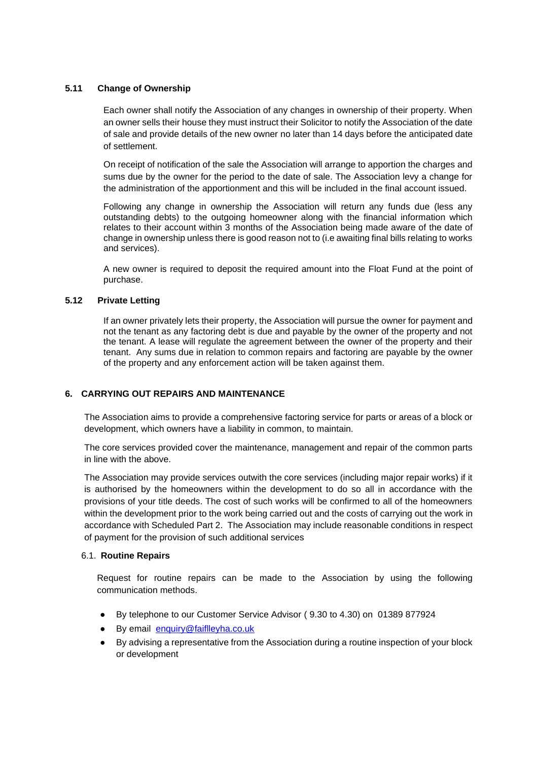# **5.11 Change of Ownership**

Each owner shall notify the Association of any changes in ownership of their property. When an owner sells their house they must instruct their Solicitor to notify the Association of the date of sale and provide details of the new owner no later than 14 days before the anticipated date of settlement.

On receipt of notification of the sale the Association will arrange to apportion the charges and sums due by the owner for the period to the date of sale. The Association levy a change for the administration of the apportionment and this will be included in the final account issued.

Following any change in ownership the Association will return any funds due (less any outstanding debts) to the outgoing homeowner along with the financial information which relates to their account within 3 months of the Association being made aware of the date of change in ownership unless there is good reason not to (i.e awaiting final bills relating to works and services).

A new owner is required to deposit the required amount into the Float Fund at the point of purchase.

## **5.12 Private Letting**

If an owner privately lets their property, the Association will pursue the owner for payment and not the tenant as any factoring debt is due and payable by the owner of the property and not the tenant. A lease will regulate the agreement between the owner of the property and their tenant. Any sums due in relation to common repairs and factoring are payable by the owner of the property and any enforcement action will be taken against them.

## **6. CARRYING OUT REPAIRS AND MAINTENANCE**

The Association aims to provide a comprehensive factoring service for parts or areas of a block or development, which owners have a liability in common, to maintain.

The core services provided cover the maintenance, management and repair of the common parts in line with the above.

The Association may provide services outwith the core services (including major repair works) if it is authorised by the homeowners within the development to do so all in accordance with the provisions of your title deeds. The cost of such works will be confirmed to all of the homeowners within the development prior to the work being carried out and the costs of carrying out the work in accordance with Scheduled Part 2. The Association may include reasonable conditions in respect of payment for the provision of such additional services

## 6.1. **Routine Repairs**

Request for routine repairs can be made to the Association by using the following communication methods.

- By telephone to our Customer Service Advisor ( 9.30 to 4.30) on 01389 877924
- By email [enquiry@faiflleyha.co.uk](mailto:enquiry@faiflleyha.co.uk)
- By advising a representative from the Association during a routine inspection of your block or development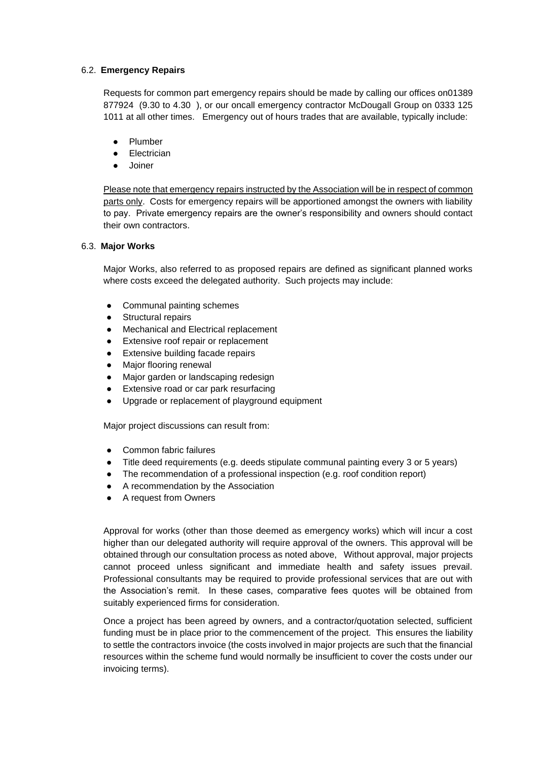## 6.2. **Emergency Repairs**

Requests for common part emergency repairs should be made by calling our offices on01389 877924 (9.30 to 4.30 ), or our oncall emergency contractor McDougall Group on 0333 125 1011 at all other times. Emergency out of hours trades that are available, typically include:

- **Plumber**
- Electrician
- Joiner

Please note that emergency repairs instructed by the Association will be in respect of common parts only. Costs for emergency repairs will be apportioned amongst the owners with liability to pay. Private emergency repairs are the owner's responsibility and owners should contact their own contractors.

## 6.3. **Major Works**

Major Works, also referred to as proposed repairs are defined as significant planned works where costs exceed the delegated authority. Such projects may include:

- Communal painting schemes
- Structural repairs
- Mechanical and Electrical replacement
- Extensive roof repair or replacement
- Extensive building facade repairs
- **Major flooring renewal**
- Major garden or landscaping redesign
- Extensive road or car park resurfacing
- Upgrade or replacement of playground equipment

Major project discussions can result from:

- Common fabric failures
- Title deed requirements (e.g. deeds stipulate communal painting every 3 or 5 years)
- The recommendation of a professional inspection (e.g. roof condition report)
- A recommendation by the Association
- A request from Owners

Approval for works (other than those deemed as emergency works) which will incur a cost higher than our delegated authority will require approval of the owners. This approval will be obtained through our consultation process as noted above, Without approval, major projects cannot proceed unless significant and immediate health and safety issues prevail. Professional consultants may be required to provide professional services that are out with the Association's remit. In these cases, comparative fees quotes will be obtained from suitably experienced firms for consideration.

Once a project has been agreed by owners, and a contractor/quotation selected, sufficient funding must be in place prior to the commencement of the project. This ensures the liability to settle the contractors invoice (the costs involved in major projects are such that the financial resources within the scheme fund would normally be insufficient to cover the costs under our invoicing terms).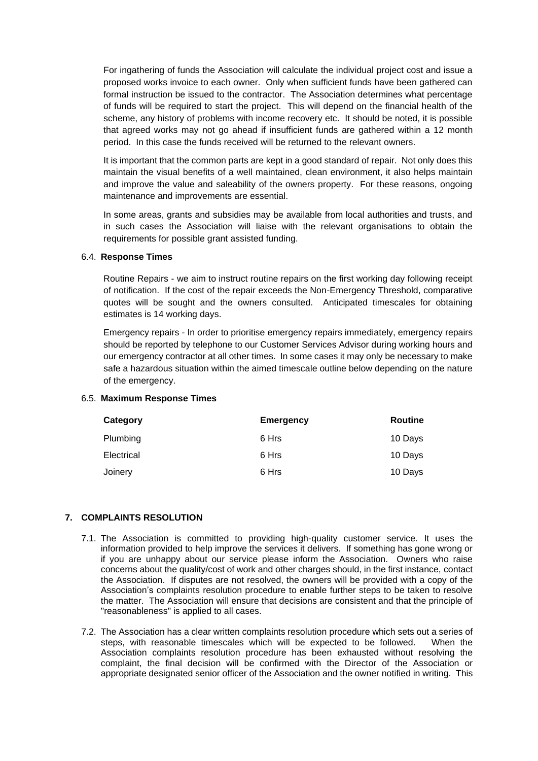For ingathering of funds the Association will calculate the individual project cost and issue a proposed works invoice to each owner. Only when sufficient funds have been gathered can formal instruction be issued to the contractor. The Association determines what percentage of funds will be required to start the project. This will depend on the financial health of the scheme, any history of problems with income recovery etc. It should be noted, it is possible that agreed works may not go ahead if insufficient funds are gathered within a 12 month period. In this case the funds received will be returned to the relevant owners.

It is important that the common parts are kept in a good standard of repair. Not only does this maintain the visual benefits of a well maintained, clean environment, it also helps maintain and improve the value and saleability of the owners property. For these reasons, ongoing maintenance and improvements are essential.

In some areas, grants and subsidies may be available from local authorities and trusts, and in such cases the Association will liaise with the relevant organisations to obtain the requirements for possible grant assisted funding.

### 6.4. **Response Times**

Routine Repairs - we aim to instruct routine repairs on the first working day following receipt of notification. If the cost of the repair exceeds the Non-Emergency Threshold, comparative quotes will be sought and the owners consulted. Anticipated timescales for obtaining estimates is 14 working days.

Emergency repairs - In order to prioritise emergency repairs immediately, emergency repairs should be reported by telephone to our Customer Services Advisor during working hours and our emergency contractor at all other times. In some cases it may only be necessary to make safe a hazardous situation within the aimed timescale outline below depending on the nature of the emergency.

### 6.5. **Maximum Response Times**

| Category   | <b>Emergency</b> | Routine |
|------------|------------------|---------|
| Plumbing   | 6 Hrs            | 10 Days |
| Electrical | 6 Hrs            | 10 Days |
| Joinery    | 6 Hrs            | 10 Days |

### **7. COMPLAINTS RESOLUTION**

- 7.1. The Association is committed to providing high-quality customer service. It uses the information provided to help improve the services it delivers. If something has gone wrong or if you are unhappy about our service please inform the Association. Owners who raise concerns about the quality/cost of work and other charges should, in the first instance, contact the Association. If disputes are not resolved, the owners will be provided with a copy of the Association's complaints resolution procedure to enable further steps to be taken to resolve the matter. The Association will ensure that decisions are consistent and that the principle of "reasonableness" is applied to all cases.
- 7.2. The Association has a clear written complaints resolution procedure which sets out a series of steps, with reasonable timescales which will be expected to be followed. When the Association complaints resolution procedure has been exhausted without resolving the complaint, the final decision will be confirmed with the Director of the Association or appropriate designated senior officer of the Association and the owner notified in writing. This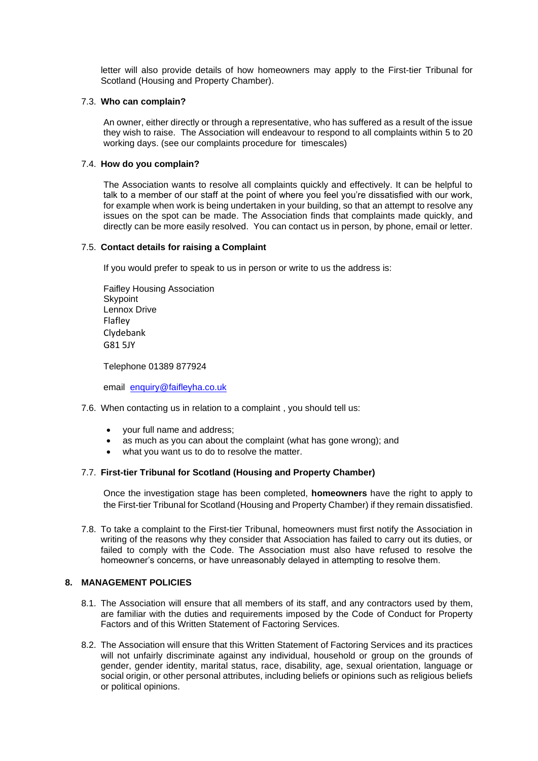letter will also provide details of how homeowners may apply to the First-tier Tribunal for Scotland (Housing and Property Chamber).

### 7.3. **Who can complain?**

An owner, either directly or through a representative, who has suffered as a result of the issue they wish to raise. The Association will endeavour to respond to all complaints within 5 to 20 working days. (see our complaints procedure for timescales)

## 7.4. **How do you complain?**

The Association wants to resolve all complaints quickly and effectively. It can be helpful to talk to a member of our staff at the point of where you feel you're dissatisfied with our work, for example when work is being undertaken in your building, so that an attempt to resolve any issues on the spot can be made. The Association finds that complaints made quickly, and directly can be more easily resolved. You can contact us in person, by phone, email or letter.

## 7.5. **Contact details for raising a Complaint**

If you would prefer to speak to us in person or write to us the address is:

Faifley Housing Association **Skypoint** Lennox Drive Flafley Clydebank G81 5JY

Telephone 01389 877924

email [enquiry@faifleyha.co.uk](mailto:enquiry@faifleyha.co.uk)

### 7.6. When contacting us in relation to a complaint , you should tell us:

- your full name and address;
- as much as you can about the complaint (what has gone wrong); and
- what you want us to do to resolve the matter.

## 7.7. **First-tier Tribunal for Scotland (Housing and Property Chamber)**

Once the investigation stage has been completed, **homeowners** have the right to apply to the First-tier Tribunal for Scotland (Housing and Property Chamber) if they remain dissatisfied.

7.8. To take a complaint to the First-tier Tribunal, homeowners must first notify the Association in writing of the reasons why they consider that Association has failed to carry out its duties, or failed to comply with the Code. The Association must also have refused to resolve the homeowner's concerns, or have unreasonably delayed in attempting to resolve them.

### **8. MANAGEMENT POLICIES**

- 8.1. The Association will ensure that all members of its staff, and any contractors used by them, are familiar with the duties and requirements imposed by the Code of Conduct for Property Factors and of this Written Statement of Factoring Services.
- 8.2. The Association will ensure that this Written Statement of Factoring Services and its practices will not unfairly discriminate against any individual, household or group on the grounds of gender, gender identity, marital status, race, disability, age, sexual orientation, language or social origin, or other personal attributes, including beliefs or opinions such as religious beliefs or political opinions.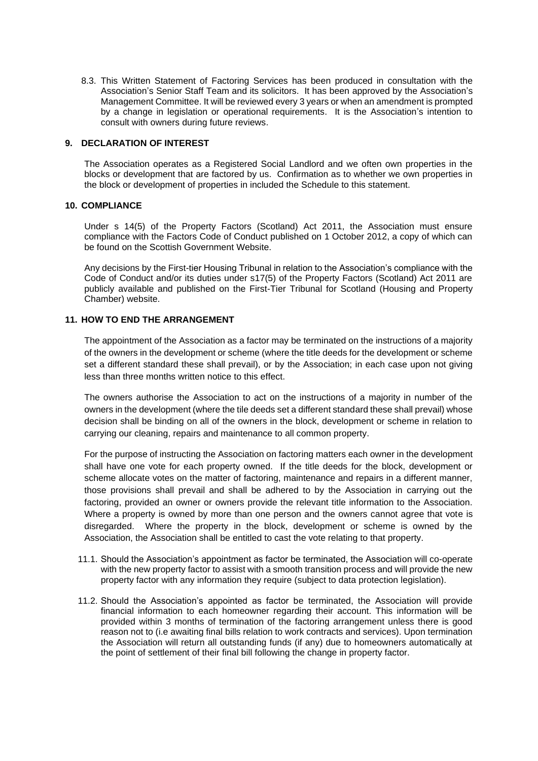8.3. This Written Statement of Factoring Services has been produced in consultation with the Association's Senior Staff Team and its solicitors. It has been approved by the Association's Management Committee. It will be reviewed every 3 years or when an amendment is prompted by a change in legislation or operational requirements. It is the Association's intention to consult with owners during future reviews.

## **9. DECLARATION OF INTEREST**

The Association operates as a Registered Social Landlord and we often own properties in the blocks or development that are factored by us. Confirmation as to whether we own properties in the block or development of properties in included the Schedule to this statement.

### **10. COMPLIANCE**

Under s 14(5) of the Property Factors (Scotland) Act 2011, the Association must ensure compliance with the Factors Code of Conduct published on 1 October 2012, a copy of which can be found on the Scottish Government Website.

Any decisions by the First-tier Housing Tribunal in relation to the Association's compliance with the Code of Conduct and/or its duties under s17(5) of the Property Factors (Scotland) Act 2011 are publicly available and published on the First-Tier Tribunal for Scotland (Housing and Property Chamber) website.

## **11. HOW TO END THE ARRANGEMENT**

The appointment of the Association as a factor may be terminated on the instructions of a majority of the owners in the development or scheme (where the title deeds for the development or scheme set a different standard these shall prevail), or by the Association; in each case upon not giving less than three months written notice to this effect.

The owners authorise the Association to act on the instructions of a majority in number of the owners in the development (where the tile deeds set a different standard these shall prevail) whose decision shall be binding on all of the owners in the block, development or scheme in relation to carrying our cleaning, repairs and maintenance to all common property.

For the purpose of instructing the Association on factoring matters each owner in the development shall have one vote for each property owned. If the title deeds for the block, development or scheme allocate votes on the matter of factoring, maintenance and repairs in a different manner, those provisions shall prevail and shall be adhered to by the Association in carrying out the factoring, provided an owner or owners provide the relevant title information to the Association. Where a property is owned by more than one person and the owners cannot agree that vote is disregarded. Where the property in the block, development or scheme is owned by the Association, the Association shall be entitled to cast the vote relating to that property.

- 11.1. Should the Association's appointment as factor be terminated, the Association will co-operate with the new property factor to assist with a smooth transition process and will provide the new property factor with any information they require (subject to data protection legislation).
- 11.2. Should the Association's appointed as factor be terminated, the Association will provide financial information to each homeowner regarding their account. This information will be provided within 3 months of termination of the factoring arrangement unless there is good reason not to (i.e awaiting final bills relation to work contracts and services). Upon termination the Association will return all outstanding funds (if any) due to homeowners automatically at the point of settlement of their final bill following the change in property factor.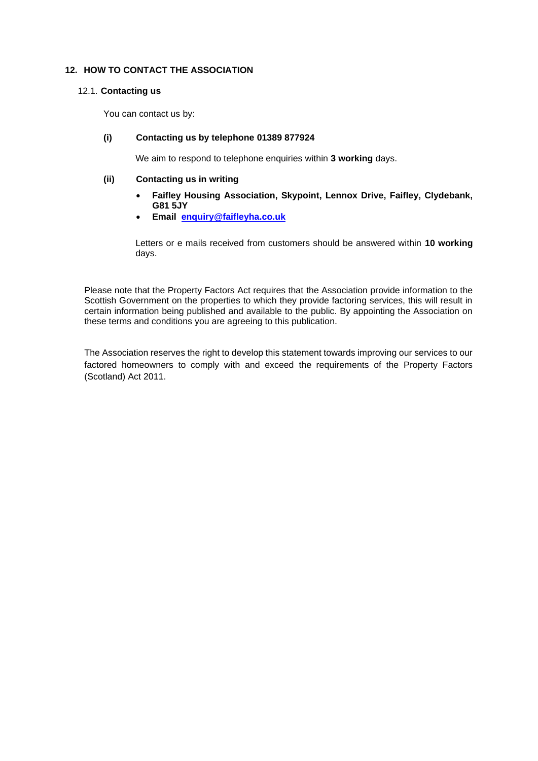# **12. HOW TO CONTACT THE ASSOCIATION**

### 12.1. **Contacting us**

You can contact us by:

## **(i) Contacting us by telephone 01389 877924**

We aim to respond to telephone enquiries within **3 working** days.

## **(ii) Contacting us in writing**

- **Faifley Housing Association, Skypoint, Lennox Drive, Faifley, Clydebank, G81 5JY**
- **Email [enquiry@faifleyha.co.uk](mailto:enquiry@faifleyha.co.uk)**

Letters or e mails received from customers should be answered within **10 working** days.

Please note that the Property Factors Act requires that the Association provide information to the Scottish Government on the properties to which they provide factoring services, this will result in certain information being published and available to the public. By appointing the Association on these terms and conditions you are agreeing to this publication.

The Association reserves the right to develop this statement towards improving our services to our factored homeowners to comply with and exceed the requirements of the Property Factors (Scotland) Act 2011.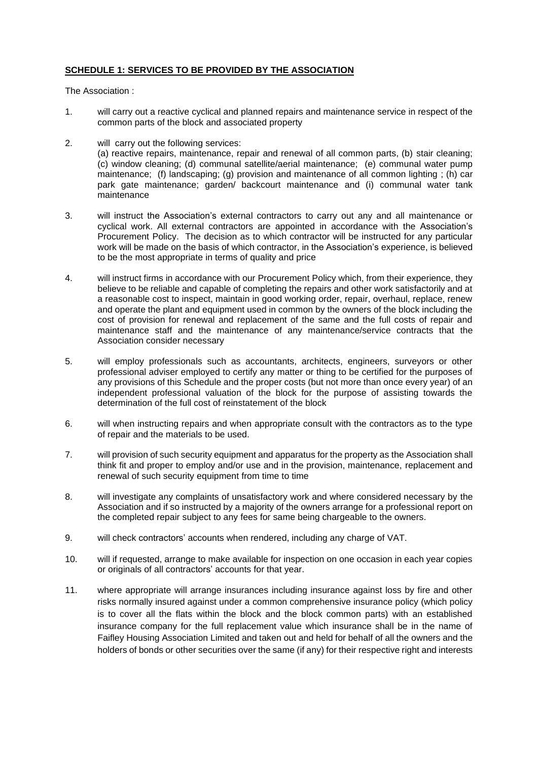## **SCHEDULE 1: SERVICES TO BE PROVIDED BY THE ASSOCIATION**

The Association :

- 1. will carry out a reactive cyclical and planned repairs and maintenance service in respect of the common parts of the block and associated property
- 2. will carry out the following services:

(a) reactive repairs, maintenance, repair and renewal of all common parts, (b) stair cleaning; (c) window cleaning; (d) communal satellite/aerial maintenance; (e) communal water pump maintenance; (f) landscaping; (g) provision and maintenance of all common lighting ; (h) car park gate maintenance; garden/ backcourt maintenance and (i) communal water tank maintenance

- 3. will instruct the Association's external contractors to carry out any and all maintenance or cyclical work. All external contractors are appointed in accordance with the Association's Procurement Policy. The decision as to which contractor will be instructed for any particular work will be made on the basis of which contractor, in the Association's experience, is believed to be the most appropriate in terms of quality and price
- 4. will instruct firms in accordance with our Procurement Policy which, from their experience, they believe to be reliable and capable of completing the repairs and other work satisfactorily and at a reasonable cost to inspect, maintain in good working order, repair, overhaul, replace, renew and operate the plant and equipment used in common by the owners of the block including the cost of provision for renewal and replacement of the same and the full costs of repair and maintenance staff and the maintenance of any maintenance/service contracts that the Association consider necessary
- 5. will employ professionals such as accountants, architects, engineers, surveyors or other professional adviser employed to certify any matter or thing to be certified for the purposes of any provisions of this Schedule and the proper costs (but not more than once every year) of an independent professional valuation of the block for the purpose of assisting towards the determination of the full cost of reinstatement of the block
- 6. will when instructing repairs and when appropriate consult with the contractors as to the type of repair and the materials to be used.
- 7. will provision of such security equipment and apparatus for the property as the Association shall think fit and proper to employ and/or use and in the provision, maintenance, replacement and renewal of such security equipment from time to time
- 8. will investigate any complaints of unsatisfactory work and where considered necessary by the Association and if so instructed by a majority of the owners arrange for a professional report on the completed repair subject to any fees for same being chargeable to the owners.
- 9. will check contractors' accounts when rendered, including any charge of VAT.
- 10. will if requested, arrange to make available for inspection on one occasion in each year copies or originals of all contractors' accounts for that year.
- 11. where appropriate will arrange insurances including insurance against loss by fire and other risks normally insured against under a common comprehensive insurance policy (which policy is to cover all the flats within the block and the block common parts) with an established insurance company for the full replacement value which insurance shall be in the name of Faifley Housing Association Limited and taken out and held for behalf of all the owners and the holders of bonds or other securities over the same (if any) for their respective right and interests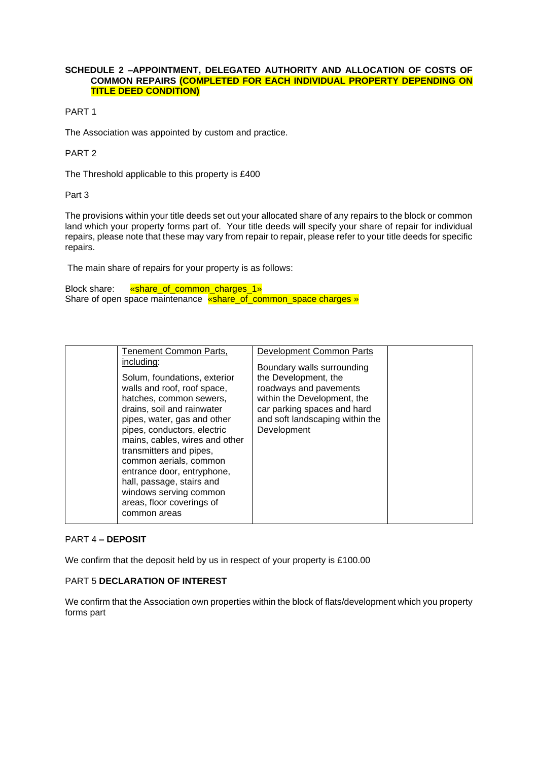#### **SCHEDULE 2 –APPOINTMENT, DELEGATED AUTHORITY AND ALLOCATION OF COSTS OF COMMON REPAIRS (COMPLETED FOR EACH INDIVIDUAL PROPERTY DEPENDING ON TITLE DEED CONDITION)**

PART 1

The Association was appointed by custom and practice.

# PART 2

The Threshold applicable to this property is £400

Part 3

The provisions within your title deeds set out your allocated share of any repairs to the block or common land which your property forms part of. Your title deeds will specify your share of repair for individual repairs, please note that these may vary from repair to repair, please refer to your title deeds for specific repairs.

The main share of repairs for your property is as follows:

Block share: **«share of common charges 1»** Share of open space maintenance <u>«share of common space charges »</u>

| Tenement Common Parts,<br>including:                                                                                                                                                                                                                                                                                                                                                                        | Development Common Parts                                                                                                                                                                     |  |
|-------------------------------------------------------------------------------------------------------------------------------------------------------------------------------------------------------------------------------------------------------------------------------------------------------------------------------------------------------------------------------------------------------------|----------------------------------------------------------------------------------------------------------------------------------------------------------------------------------------------|--|
| Solum, foundations, exterior<br>walls and roof, roof space,<br>hatches, common sewers,<br>drains, soil and rainwater<br>pipes, water, gas and other<br>pipes, conductors, electric<br>mains, cables, wires and other<br>transmitters and pipes,<br>common aerials, common<br>entrance door, entryphone,<br>hall, passage, stairs and<br>windows serving common<br>areas, floor coverings of<br>common areas | Boundary walls surrounding<br>the Development, the<br>roadways and pavements<br>within the Development, the<br>car parking spaces and hard<br>and soft landscaping within the<br>Development |  |

## PART 4 **– DEPOSIT**

We confirm that the deposit held by us in respect of your property is £100.00

## PART 5 **DECLARATION OF INTEREST**

We confirm that the Association own properties within the block of flats/development which you property forms part